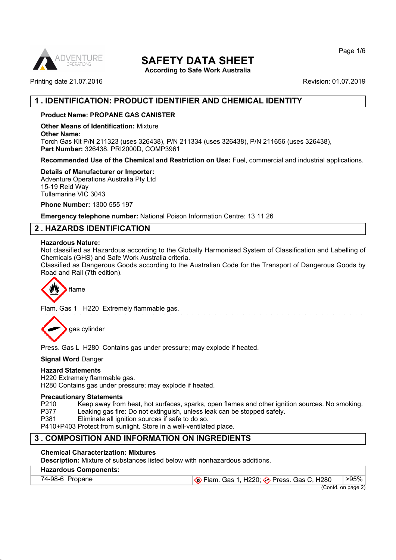

# **SAFETY DATA SHEET**

**According to Safe Work Australia**

Printing date 21.07.2016 **Revision: 01.07.2019** Revision: 01.07.2019

# **1 . IDENTIFICATION: PRODUCT IDENTIFIER AND CHEMICAL IDENTITY**

# **Product Name: PROPANE GAS CANISTER**

**Other Means of Identification:** Mixture

**Other Name:**

Torch Gas Kit P/N 211323 (uses 326438), P/N 211334 (uses 326438), P/N 211656 (uses 326438), **Part Number:** 326438, PRI2000D, COMP3961

**Recommended Use of the Chemical and Restriction on Use:** Fuel, commercial and industrial applications.

#### **Details of Manufacturer or Importer:**

Adventure Operations Australia Pty Ltd 15-19 Reid Way Tullamarine VIC 3043

**Phone Number:** 1300 555 197

**Emergency telephone number:** National Poison Information Centre: 13 11 26

# **2 . HAZARDS IDENTIFICATION**

#### **Hazardous Nature:**

Not classified as Hazardous according to the Globally Harmonised System of Classification and Labelling of Chemicals (GHS) and Safe Work Australia criteria.

Classified as Dangerous Goods according to the Australian Code for the Transport of Dangerous Goods by Road and Rail (7th edition).



Flam. Gas 1 H220 Extremely flammable gas.

gas cylinder

Press. Gas L H280 Contains gas under pressure; may explode if heated.

# **Signal Word** Danger

# **Hazard Statements**

H220 Extremely flammable gas. H280 Contains gas under pressure; may explode if heated.

#### **Precautionary Statements**

P210 Keep away from heat, hot surfaces, sparks, open flames and other ignition sources. No smoking.<br>P377 Leaking gas fire: Do not extinguish, unless leak can be stopped safely.

- Leaking gas fire: Do not extinguish, unless leak can be stopped safely.
- P381 Eliminate all ignition sources if safe to do so.

P410+P403 Protect from sunlight. Store in a well-ventilated place.

# **3 . COMPOSITION AND INFORMATION ON INGREDIENTS**

# **Chemical Characterization: Mixtures**

**Description:** Mixture of substances listed below with nonhazardous additions.

# **Hazardous Components:**

74-98-6 Propane Flam. Gas 1, H220; → Press. Gas C, H280 >95%

(Contd. on page 2)

Page 1/6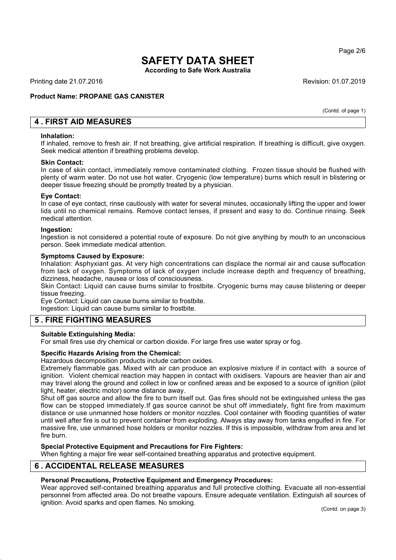Page 2/6

# **SAFETY DATA SHEET**

**According to Safe Work Australia**

Printing date 21.07.2016 **Revision: 01.07.2019** Revision: 01.07.2019

# **Product Name: PROPANE GAS CANISTER**

(Contd. of page 1)

# **4 . FIRST AID MEASURES**

#### **Inhalation:**

If inhaled, remove to fresh air. If not breathing, give artificial respiration. If breathing is difficult, give oxygen. Seek medical attention if breathing problems develop.

#### **Skin Contact:**

In case of skin contact, immediately remove contaminated clothing. Frozen tissue should be flushed with plenty of warm water. Do not use hot water. Cryogenic (low temperature) burns which result in blistering or deeper tissue freezing should be promptly treated by a physician.

#### **Eye Contact:**

In case of eye contact, rinse cautiously with water for several minutes, occasionally lifting the upper and lower lids until no chemical remains. Remove contact lenses, if present and easy to do. Continue rinsing. Seek medical attention.

#### **Ingestion:**

Ingestion is not considered a potential route of exposure. Do not give anything by mouth to an unconscious person. Seek immediate medical attention.

#### **Symptoms Caused by Exposure:**

Inhalation: Asphyxiant gas. At very high concentrations can displace the normal air and cause suffocation from lack of oxygen. Symptoms of lack of oxygen include increase depth and frequency of breathing, dizziness, headache, nausea or loss of consciousness.

Skin Contact: Liquid can cause burns similar to frostbite. Cryogenic burns may cause blistering or deeper tissue freezing.

Eye Contact: Liquid can cause burns similar to frostbite.

Ingestion: Liquid can cause burns similar to frostbite.

# **5 . FIRE FIGHTING MEASURES**

# **Suitable Extinguishing Media:**

For small fires use dry chemical or carbon dioxide. For large fires use water spray or fog.

# **Specific Hazards Arising from the Chemical:**

Hazardous decomposition products include carbon oxides.

Extremely flammable gas. Mixed with air can produce an explosive mixture if in contact with a source of ignition. Violent chemical reaction may happen in contact with oxidisers. Vapours are heavier than air and may travel along the ground and collect in low or confined areas and be exposed to a source of ignition (pilot light, heater, electric motor) some distance away.

Shut off gas source and allow the fire to burn itself out. Gas fires should not be extinguished unless the gas flow can be stopped immediately.If gas source cannot be shut off immediately, fight fire from maximum distance or use unmanned hose holders or monitor nozzles. Cool container with flooding quantities of water until well after fire is out to prevent container from exploding. Always stay away from tanks engulfed in fire. For massive fire, use unmanned hose holders or monitor nozzles. If this is impossible, withdraw from area and let fire burn.

# **Special Protective Equipment and Precautions for Fire Fighters:**

When fighting a major fire wear self-contained breathing apparatus and protective equipment.

# **6 . ACCIDENTAL RELEASE MEASURES**

# **Personal Precautions, Protective Equipment and Emergency Procedures:**

Wear approved self-contained breathing apparatus and full protective clothing. Evacuate all non-essential personnel from affected area. Do not breathe vapours. Ensure adequate ventilation. Extinguish all sources of ignition. Avoid sparks and open flames. No smoking.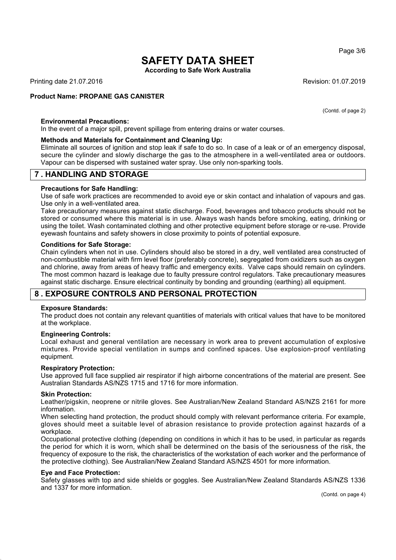Page 3/6

# **SAFETY DATA SHEET**

**According to Safe Work Australia**

Printing date 21.07.2016 **Revision: 01.07.2019** Revision: 01.07.2019

#### **Product Name: PROPANE GAS CANISTER**

(Contd. of page 2)

# **Environmental Precautions:**

In the event of a major spill, prevent spillage from entering drains or water courses.

#### **Methods and Materials for Containment and Cleaning Up:**

Eliminate all sources of ignition and stop leak if safe to do so. In case of a leak or of an emergency disposal, secure the cylinder and slowly discharge the gas to the atmosphere in a well-ventilated area or outdoors. Vapour can be dispersed with sustained water spray. Use only non-sparking tools.

# **7 . HANDLING AND STORAGE**

#### **Precautions for Safe Handling:**

Use of safe work practices are recommended to avoid eye or skin contact and inhalation of vapours and gas. Use only in a well-ventilated area.

Take precautionary measures against static discharge. Food, beverages and tobacco products should not be stored or consumed where this material is in use. Always wash hands before smoking, eating, drinking or using the toilet. Wash contaminated clothing and other protective equipment before storage or re-use. Provide eyewash fountains and safety showers in close proximity to points of potential exposure.

#### **Conditions for Safe Storage:**

Chain cylinders when not in use. Cylinders should also be stored in a dry, well ventilated area constructed of non-combustible material with firm level floor (preferably concrete), segregated from oxidizers such as oxygen and chlorine, away from areas of heavy traffic and emergency exits. Valve caps should remain on cylinders. The most common hazard is leakage due to faulty pressure control regulators. Take precautionary measures against static discharge. Ensure electrical continuity by bonding and grounding (earthing) all equipment.

# **8 . EXPOSURE CONTROLS AND PERSONAL PROTECTION**

#### **Exposure Standards:**

The product does not contain any relevant quantities of materials with critical values that have to be monitored at the workplace.

#### **Engineering Controls:**

Local exhaust and general ventilation are necessary in work area to prevent accumulation of explosive mixtures. Provide special ventilation in sumps and confined spaces. Use explosion-proof ventilating equipment.

#### **Respiratory Protection:**

Use approved full face supplied air respirator if high airborne concentrations of the material are present. See Australian Standards AS/NZS 1715 and 1716 for more information.

#### **Skin Protection:**

Leather/pigskin, neoprene or nitrile gloves. See Australian/New Zealand Standard AS/NZS 2161 for more information.

When selecting hand protection, the product should comply with relevant performance criteria. For example, gloves should meet a suitable level of abrasion resistance to provide protection against hazards of a workplace.

Occupational protective clothing (depending on conditions in which it has to be used, in particular as regards the period for which it is worn, which shall be determined on the basis of the seriousness of the risk, the frequency of exposure to the risk, the characteristics of the workstation of each worker and the performance of the protective clothing). See Australian/New Zealand Standard AS/NZS 4501 for more information.

#### **Eye and Face Protection:**

Safety glasses with top and side shields or goggles. See Australian/New Zealand Standards AS/NZS 1336 and 1337 for more information.

(Contd. on page 4)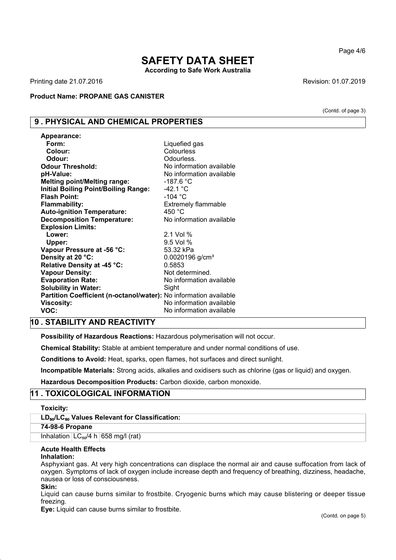# **SAFETY DATA SHEET According to Safe Work Australia**

Printing date 21.07.2016 **Revision: 01.07.2019** Revision: 01.07.2019

**Product Name: PROPANE GAS CANISTER**

# **9 . PHYSICAL AND CHEMICAL PROPERTIES**

| Appearance:                                                       |                               |
|-------------------------------------------------------------------|-------------------------------|
| Form:                                                             | Liquefied gas                 |
| Colour:                                                           | Colourless                    |
| Odour:                                                            | Odourless.                    |
| <b>Odour Threshold:</b>                                           | No information available      |
| pH-Value:                                                         | No information available      |
| <b>Melting point/Melting range:</b>                               | $-187.6 °C$                   |
| <b>Initial Boiling Point/Boiling Range:</b>                       | $-42.1 °C$                    |
| <b>Flash Point:</b>                                               | -104 $^{\circ}$ C             |
| <b>Flammability:</b>                                              | <b>Extremely flammable</b>    |
| <b>Auto-ignition Temperature:</b>                                 | 450 $^{\circ}$ C              |
| <b>Decomposition Temperature:</b>                                 | No information available      |
| <b>Explosion Limits:</b>                                          |                               |
| Lower:                                                            | 2.1 Vol %                     |
| Upper:                                                            | $9.5$ Vol $%$                 |
| Vapour Pressure at -56 °C:                                        | 53.32 kPa                     |
| Density at 20 °C:                                                 | $0.0020196$ g/cm <sup>3</sup> |
| Relative Density at -45 °C:                                       | 0.5853                        |
| <b>Vapour Density:</b>                                            | Not determined.               |
| <b>Evaporation Rate:</b>                                          | No information available      |
| <b>Solubility in Water:</b>                                       | Sight                         |
| Partition Coefficient (n-octanol/water): No information available |                               |
| <b>Viscosity:</b>                                                 | No information available      |
| VOC:                                                              | No information available      |

# **10 . STABILITY AND REACTIVITY**

**Possibility of Hazardous Reactions:** Hazardous polymerisation will not occur.

**Chemical Stability:** Stable at ambient temperature and under normal conditions of use.

**Conditions to Avoid:** Heat, sparks, open flames, hot surfaces and direct sunlight.

**Incompatible Materials:** Strong acids, alkalies and oxidisers such as chlorine (gas or liquid) and oxygen.

**Hazardous Decomposition Products:** Carbon dioxide, carbon monoxide.

# **11 . TOXICOLOGICAL INFORMATION**

**Toxicity:**

# **LD**₅₀**/LC**₅₀ **Values Relevant for Classification:**

# **74-98-6 Propane**

Inhalation  $LC_{50}/4$  h 658 mg/l (rat)

# **Acute Health Effects**

# **Inhalation:**

Asphyxiant gas. At very high concentrations can displace the normal air and cause suffocation from lack of oxygen. Symptoms of lack of oxygen include increase depth and frequency of breathing, dizziness, headache, nausea or loss of consciousness.

# **Skin:**

Liquid can cause burns similar to frostbite. Cryogenic burns which may cause blistering or deeper tissue freezing.

**Eye:** Liquid can cause burns similar to frostbite.

Page 4/6

(Contd. of page 3)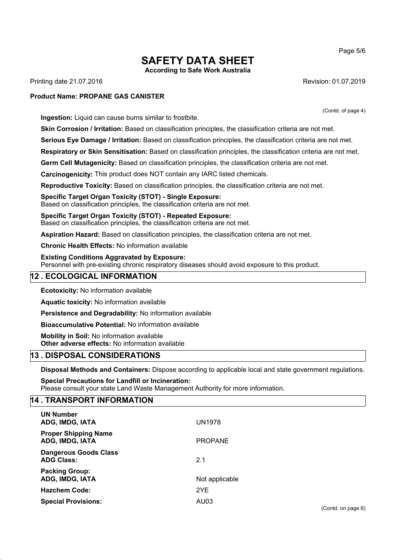Page 5/6

# **SAFETY DATA SHEET According to Safe Work Australia**

Printing date 21.07.2016 **Revision: 01.07.2019** Revision: 01.07.2019

#### **Product Name: PROPANE GAS CANISTER**

**Ingestion:** Liquid can cause burns similar to frostbite.

**Skin Corrosion / Irritation:** Based on classification principles, the classification criteria are not met.

**Serious Eye Damage / Irritation:** Based on classification principles, the classification criteria are not met.

**Respiratory or Skin Sensitisation:** Based on classification principles, the classification criteria are not met.

**Germ Cell Mutagenicity:** Based on classification principles, the classification criteria are not met.

**Carcinogenicity:** This product does NOT contain any IARC listed chemicals.

**Reproductive Toxicity:** Based on classification principles, the classification criteria are not met.

**Specific Target Organ Toxicity (STOT) - Single Exposure:** Based on classification principles, the classification criteria are not met.

**Specific Target Organ Toxicity (STOT) - Repeated Exposure:** Based on classification principles, the classification criteria are not met.

**Aspiration Hazard:** Based on classification principles, the classification criteria are not met.

**Chronic Health Effects:** No information available

**Existing Conditions Aggravated by Exposure:** Personnel with pre-existing chronic respiratory diseases should avoid exposure to this product.

# **12 . ECOLOGICAL INFORMATION**

**Ecotoxicity:** No information available

**Aquatic toxicity:** No information available

**Persistence and Degradability:** No information available

**Bioaccumulative Potential:** No information available

**Mobility in Soil:** No information available **Other adverse effects:** No information available

# **13 . DISPOSAL CONSIDERATIONS**

**Disposal Methods and Containers:** Dispose according to applicable local and state government regulations.

**Special Precautions for Landfill or Incineration:** Please consult your state Land Waste Management Authority for more information.

# **14 . TRANSPORT INFORMATION**

| <b>UN Number</b><br>ADG, IMDG, IATA               | <b>UN1978</b>  |
|---------------------------------------------------|----------------|
| <b>Proper Shipping Name</b><br>ADG, IMDG, IATA    | <b>PROPANE</b> |
| <b>Dangerous Goods Class</b><br><b>ADG Class:</b> | 2.1            |
| <b>Packing Group:</b><br>ADG, IMDG, IATA          | Not applicable |
| <b>Hazchem Code:</b>                              | 2YE            |
| <b>Special Provisions:</b>                        | AU03           |

(Contd. of page 4)